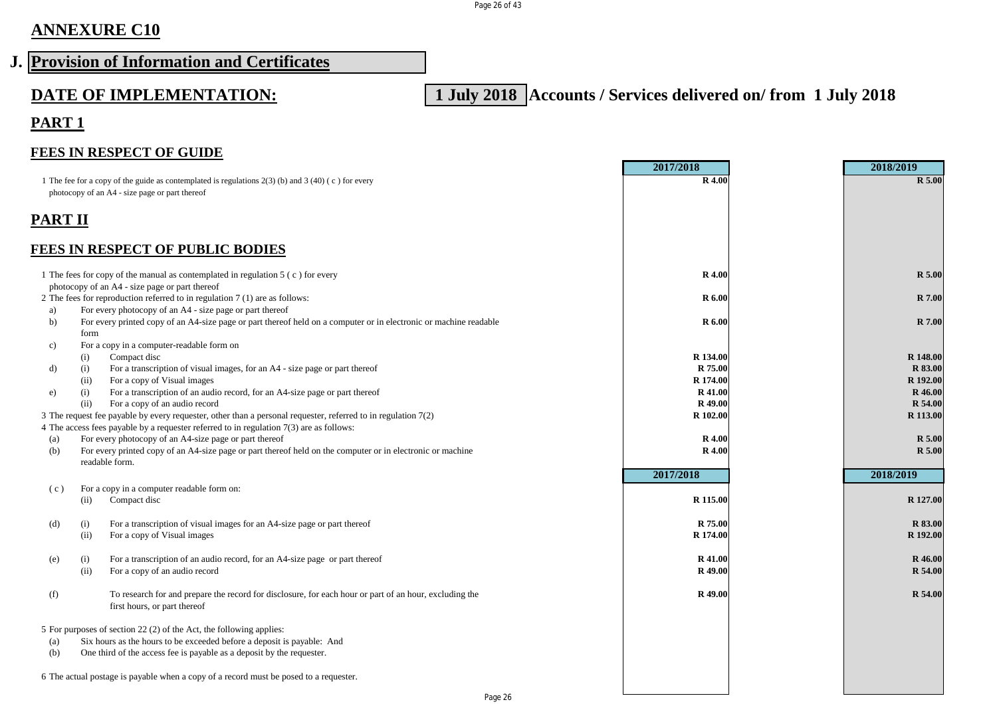## **ANNEXURE C10**

# **J. Provision of Information and Certificates**

**DATE OF IMPLEMENTATION: 1 July 2018 Accounts / Services delivered on/ from 1 July 2018**

## **PART 1**

#### **FEES IN RESPECT OF GUIDE**

|         |                                                                                                                             | 2017/2018          | 2018/2019                 |
|---------|-----------------------------------------------------------------------------------------------------------------------------|--------------------|---------------------------|
|         | 1 The fee for a copy of the guide as contemplated is regulations $2(3)$ (b) and $3(40)$ (c) for every                       | <b>R</b> 4.00      | <b>R</b> 5.00             |
|         | photocopy of an A4 - size page or part thereof                                                                              |                    |                           |
|         |                                                                                                                             |                    |                           |
| PART II |                                                                                                                             |                    |                           |
|         |                                                                                                                             |                    |                           |
|         | <b>FEES IN RESPECT OF PUBLIC BODIES</b>                                                                                     |                    |                           |
|         |                                                                                                                             |                    |                           |
|         | 1 The fees for copy of the manual as contemplated in regulation 5 (c) for every                                             | <b>R</b> 4.00      | <b>R</b> 5.00             |
|         | photocopy of an A4 - size page or part thereof                                                                              |                    |                           |
|         | 2 The fees for reproduction referred to in regulation 7 (1) are as follows:                                                 | <b>R</b> 6.00      | <b>R</b> 7.00             |
| a)      | For every photocopy of an A4 - size page or part thereof                                                                    |                    |                           |
| b)      | For every printed copy of an A4-size page or part thereof held on a computer or in electronic or machine readable           | R 6.00             | <b>R</b> 7.00             |
|         | form                                                                                                                        |                    |                           |
| c)      | For a copy in a computer-readable form on                                                                                   |                    |                           |
|         | Compact disc<br>(i)                                                                                                         | R 134.00           | R 148.00                  |
| d)      | (i)<br>For a transcription of visual images, for an A4 - size page or part thereof                                          | R 75.00            | <b>R</b> 83.00            |
|         | For a copy of Visual images<br>(ii)                                                                                         | R 174.00           | R 192.00                  |
| e)      | For a transcription of an audio record, for an A4-size page or part thereof<br>(i)<br>(ii)<br>For a copy of an audio record | R 41.00<br>R 49.00 | <b>R</b> 46.00<br>R 54.00 |
|         | 3 The request fee payable by every requester, other than a personal requester, referred to in regulation 7(2)               | R 102.00           | R 113.00                  |
|         | 4 The access fees payable by a requester referred to in regulation $7(3)$ are as follows:                                   |                    |                           |
| (a)     | For every photocopy of an A4-size page or part thereof                                                                      | <b>R</b> 4.00      | <b>R</b> 5.00             |
| (b)     | For every printed copy of an A4-size page or part thereof held on the computer or in electronic or machine                  | <b>R</b> 4.00      | <b>R</b> 5.00             |
|         | readable form.                                                                                                              |                    |                           |
|         |                                                                                                                             | 2017/2018          | 2018/2019                 |
| (c)     | For a copy in a computer readable form on:                                                                                  |                    |                           |
|         | Compact disc<br>(ii)                                                                                                        | R 115.00           | R 127.00                  |
|         |                                                                                                                             |                    |                           |
| (d)     | For a transcription of visual images for an A4-size page or part thereof<br>(i)                                             | R 75.00            | <b>R</b> 83.00            |
|         | For a copy of Visual images<br>(ii)                                                                                         | R 174.00           | R 192.00                  |
|         |                                                                                                                             |                    |                           |
| (e)     | For a transcription of an audio record, for an A4-size page or part thereof<br>(i)                                          | R 41.00            | R 46.00                   |
|         | For a copy of an audio record<br>(ii)                                                                                       | R <sub>49.00</sub> | R 54.00                   |
|         |                                                                                                                             |                    |                           |
| (f)     | To research for and prepare the record for disclosure, for each hour or part of an hour, excluding the                      | R <sub>49.00</sub> | <b>R</b> 54.00            |
|         | first hours, or part thereof                                                                                                |                    |                           |
|         | 5 For purposes of section 22 (2) of the Act, the following applies:                                                         |                    |                           |
| (a)     | Six hours as the hours to be exceeded before a deposit is payable: And                                                      |                    |                           |
| (b)     | One third of the access fee is payable as a deposit by the requester.                                                       |                    |                           |
|         |                                                                                                                             |                    |                           |
|         | 6 The actual postage is payable when a copy of a record must be posed to a requester.                                       |                    |                           |
|         |                                                                                                                             |                    |                           |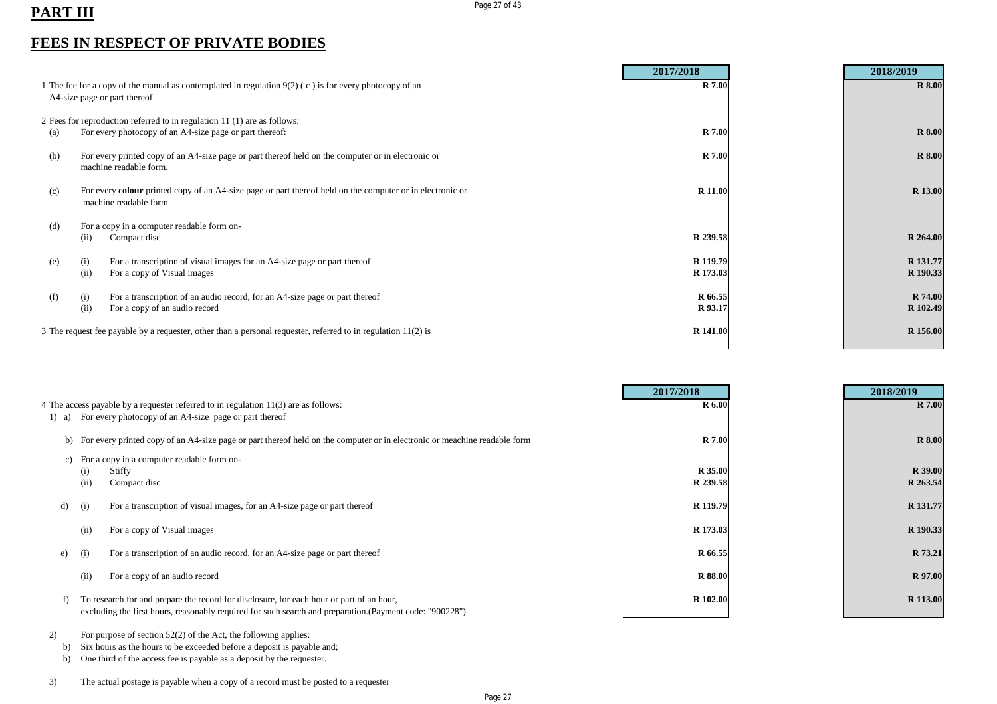## PART III Page 27 of 43

### **FEES IN RESPECT OF PRIVATE BODIES**

|                                                                                                                                          |                                                                                                                                     | 2017/2018            | 2018/2019            |
|------------------------------------------------------------------------------------------------------------------------------------------|-------------------------------------------------------------------------------------------------------------------------------------|----------------------|----------------------|
| 1 The fee for a copy of the manual as contemplated in regulation $9(2)$ (c) is for every photocopy of an<br>A4-size page or part thereof |                                                                                                                                     | <b>R</b> 7.00        | <b>R</b> 8.00        |
|                                                                                                                                          | 2 Fees for reproduction referred to in regulation 11 (1) are as follows:                                                            |                      |                      |
| (a)                                                                                                                                      | For every photocopy of an A4-size page or part thereof:                                                                             | <b>R</b> 7.00        | <b>R</b> 8.00        |
| (b)                                                                                                                                      | For every printed copy of an A4-size page or part thereof held on the computer or in electronic or<br>machine readable form.        | <b>R</b> 7.00        | <b>R</b> 8.00        |
| (c)                                                                                                                                      | For every colour printed copy of an A4-size page or part thereof held on the computer or in electronic or<br>machine readable form. | R 11.00              | R 13.00              |
| (d)                                                                                                                                      | For a copy in a computer readable form on-<br>Compact disc<br>(11)                                                                  | R 239.58             | R 264.00             |
| (e)                                                                                                                                      | For a transcription of visual images for an A4-size page or part thereof<br>(i)<br>For a copy of Visual images<br>(ii)              | R 119.79<br>R 173.03 | R 131.77<br>R 190.33 |
| (f)                                                                                                                                      | For a transcription of an audio record, for an A4-size page or part thereof<br>(i)<br>(ii)<br>For a copy of an audio record         | R 66.55<br>R 93.17   | R 74.00<br>R 102.49  |
|                                                                                                                                          | 3 The request fee payable by a requester, other than a personal requester, referred to in regulation $11(2)$ is                     | R 141.00             | R 156.00             |

|                                                                                     |      |                                                                                                                              | 2017/2018      | 2018/2019      |
|-------------------------------------------------------------------------------------|------|------------------------------------------------------------------------------------------------------------------------------|----------------|----------------|
| 4 The access payable by a requester referred to in regulation 11(3) are as follows: |      | <b>R</b> 6.00                                                                                                                | <b>R</b> 7.00  |                |
| $1)$ a)                                                                             |      | For every photocopy of an A4-size page or part thereof                                                                       |                |                |
|                                                                                     |      | b) For every printed copy of an A4-size page or part thereof held on the computer or in electronic or meachine readable form | <b>R</b> 7.00  | <b>R</b> 8.00  |
|                                                                                     |      | c) For a copy in a computer readable form on-                                                                                |                |                |
|                                                                                     | (i)  | Stiffy                                                                                                                       | R 35.00        | <b>R</b> 39.00 |
|                                                                                     | (ii) | Compact disc                                                                                                                 | R 239.58       | R 263.54       |
| d)                                                                                  | (i)  | For a transcription of visual images, for an A4-size page or part thereof                                                    | R 119.79       | R 131.77       |
|                                                                                     |      |                                                                                                                              |                |                |
|                                                                                     | (ii) | For a copy of Visual images                                                                                                  | R 173.03       | R 190.33       |
| e)                                                                                  | (i)  | For a transcription of an audio record, for an A4-size page or part thereof                                                  | R 66.55        | R 73.21        |
|                                                                                     |      |                                                                                                                              |                |                |
|                                                                                     | (ii) | For a copy of an audio record                                                                                                | <b>R</b> 88.00 | R 97.00        |
|                                                                                     |      | To research for and prepare the record for disclosure, for each hour or part of an hour,                                     | R 102.00       | R 113.00       |
|                                                                                     |      | excluding the first hours, reasonably required for such search and preparation. (Payment code: "900228")                     |                |                |

2) For purpose of section 52(2) of the Act, the following applies:

b) Six hours as the hours to be exceeded before a deposit is payable and;

b) One third of the access fee is payable as a deposit by the requester.

3) The actual postage is payable when a copy of a record must be posted to a requester